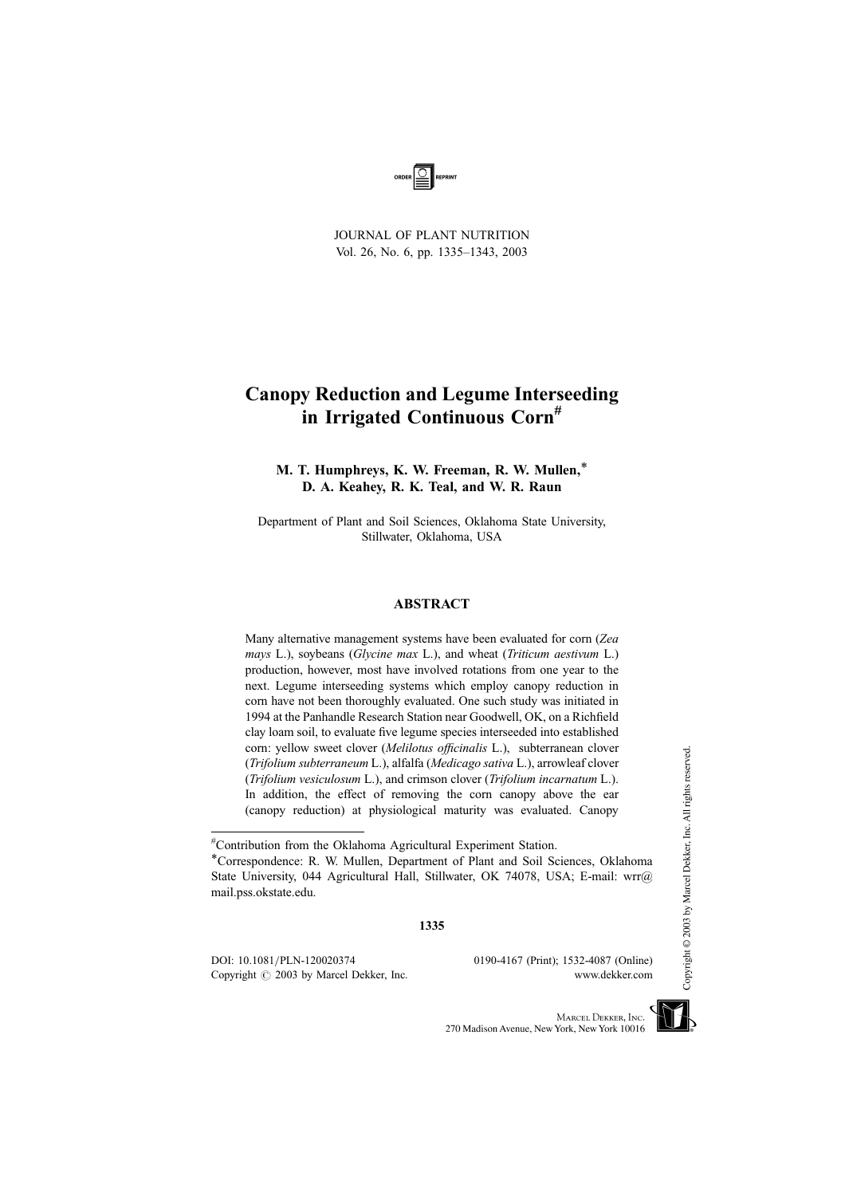

JOURNAL OF PLANT NUTRITION Vol. 26, No. 6, pp. 1335–1343, 2003

## Canopy Reduction and Legume Interseeding in Irrigated Continuous Corn<sup>#</sup>

M. T. Humphreys, K. W. Freeman, R. W. Mullen,\* D. A. Keahey, R. K. Teal, and W. R. Raun

Department of Plant and Soil Sciences, Oklahoma State University, Stillwater, Oklahoma, USA

### ABSTRACT

Many alternative management systems have been evaluated for corn (Zea mays L.), soybeans (Glycine max L.), and wheat (Triticum aestivum L.) production, however, most have involved rotations from one year to the next. Legume interseeding systems which employ canopy reduction in corn have not been thoroughly evaluated. One such study was initiated in 1994 at the Panhandle Research Station near Goodwell, OK, on a Richfield clay loam soil, to evaluate five legume species interseeded into established corn: yellow sweet clover (Melilotus officinalis L.), subterranean clover (Trifolium subterraneum L.), alfalfa (Medicago sativa L.), arrowleaf clover (Trifolium vesiculosum L.), and crimson clover (Trifolium incarnatum L.). In addition, the effect of removing the corn canopy above the ear (canopy reduction) at physiological maturity was evaluated. Canopy

DOI: 10.1081/PLN-120020374 0190-4167 (Print); 1532-4087 (Online) Copyright  $\odot$  2003 by Marcel Dekker, Inc. www.dekker.com



<sup>#</sup> Contribution from the Oklahoma Agricultural Experiment Station.

<sup>\*</sup>Correspondence: R. W. Mullen, Department of Plant and Soil Sciences, Oklahoma State University, 044 Agricultural Hall, Stillwater, OK 74078, USA; E-mail: wrr@ mail.pss.okstate.edu.

<sup>1335</sup>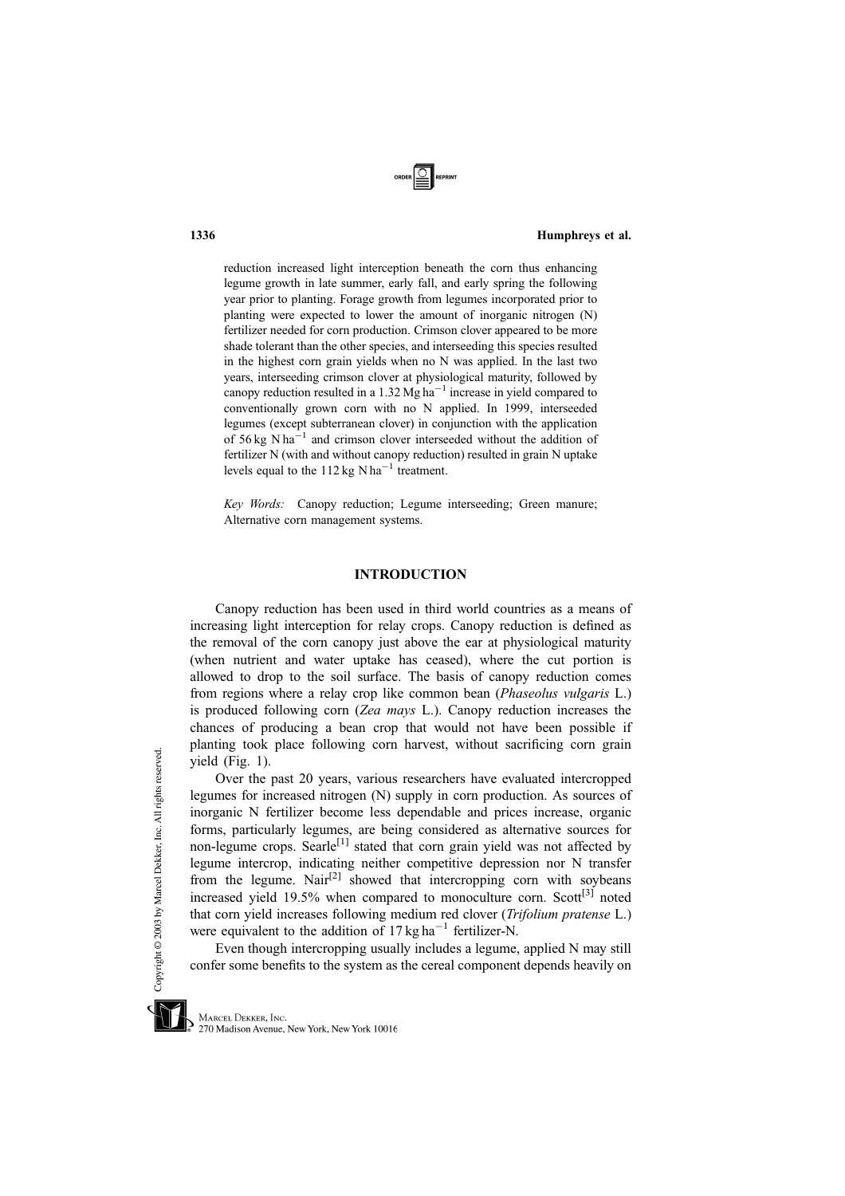

### 1336 Humphreys et al.

reduction increased light interception beneath the corn thus enhancing legume growth in late summer, early fall, and early spring the following year prior to planting. Forage growth from legumes incorporated prior to planting were expected to lower the amount of inorganic nitrogen (N) fertilizer needed for corn production. Crimson clover appeared to be more shade tolerant than the other species, and interseeding this species resulted in the highest corn grain yields when no N was applied. In the last two years, interseeding crimson clover at physiological maturity, followed by canopy reduction resulted in a 1.32  $Mg$  ha<sup>-1</sup> increase in yield compared to conventionally grown corn with no N applied. In 1999, interseeded legumes (except subterranean clover) in conjunction with the application of  $56 \text{ kg}$  N ha<sup>-1</sup> and crimson clover interseeded without the addition of fertilizer N (with and without canopy reduction) resulted in grain N uptake levels equal to the 112 kg N ha<sup>-1</sup> treatment.

Key Words: Canopy reduction; Legume interseeding; Green manure; Alternative corn management systems.

### INTRODUCTION

Canopy reduction has been used in third world countries as a means of increasing light interception for relay crops. Canopy reduction is defined as the removal of the corn canopy just above the ear at physiological maturity (when nutrient and water uptake has ceased), where the cut portion is allowed to drop to the soil surface. The basis of canopy reduction comes from regions where a relay crop like common bean (Phaseolus vulgaris L.) is produced following corn (Zea mays L.). Canopy reduction increases the chances of producing a bean crop that would not have been possible if planting took place following corn harvest, without sacrificing corn grain yield (Fig. 1).

Over the past 20 years, various researchers have evaluated intercropped legumes for increased nitrogen (N) supply in corn production. As sources of inorganic N fertilizer become less dependable and prices increase, organic forms, particularly legumes, are being considered as alternative sources for non-legume crops. Searle<sup>[1]</sup> stated that corn grain yield was not affected by legume intercrop, indicating neither competitive depression nor N transfer from the legume. Nair<sup>[2]</sup> showed that intercropping corn with soybeans increased yield  $19.5\%$  when compared to monoculture corn. Scott<sup>[3]</sup> noted that corn yield increases following medium red clover (Trifolium pratense L.) were equivalent to the addition of  $17 \text{ kg ha}^{-1}$  fertilizer-N.

Even though intercropping usually includes a legume, applied N may still confer some benefits to the system as the cereal component depends heavily on



MARCEL DEKKER, INC. 270 Madison Avenue, New York, New York 10016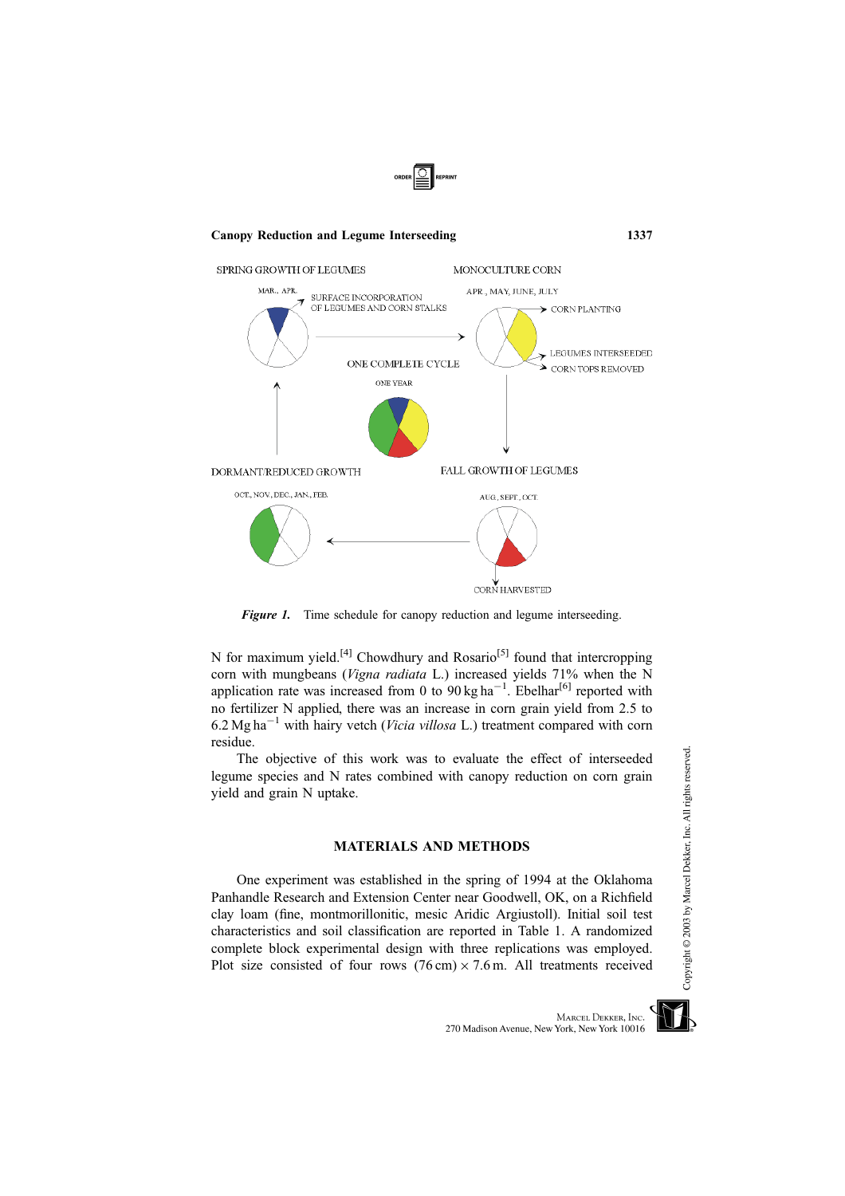

Figure 1. Time schedule for canopy reduction and legume interseeding.

N for maximum yield.<sup>[4]</sup> Chowdhury and Rosario<sup>[5]</sup> found that intercropping corn with mungbeans (Vigna radiata L.) increased yields 71% when the N application rate was increased from 0 to  $90 \text{ kg ha}^{-1}$ . Ebelhar<sup>[6]</sup> reported with no fertilizer N applied, there was an increase in corn grain yield from 2.5 to 6.2 Mg ha<sup> $-1$ </sup> with hairy vetch (*Vicia villosa* L.) treatment compared with corn residue.

The objective of this work was to evaluate the effect of interseeded legume species and N rates combined with canopy reduction on corn grain yield and grain N uptake.

### MATERIALS AND METHODS

One experiment was established in the spring of 1994 at the Oklahoma Panhandle Research and Extension Center near Goodwell, OK, on a Richfield clay loam (fine, montmorillonitic, mesic Aridic Argiustoll). Initial soil test characteristics and soil classification are reported in Table 1. A randomized complete block experimental design with three replications was employed. Plot size consisted of four rows  $(76 \text{ cm}) \times 7.6 \text{ m}$ . All treatments received

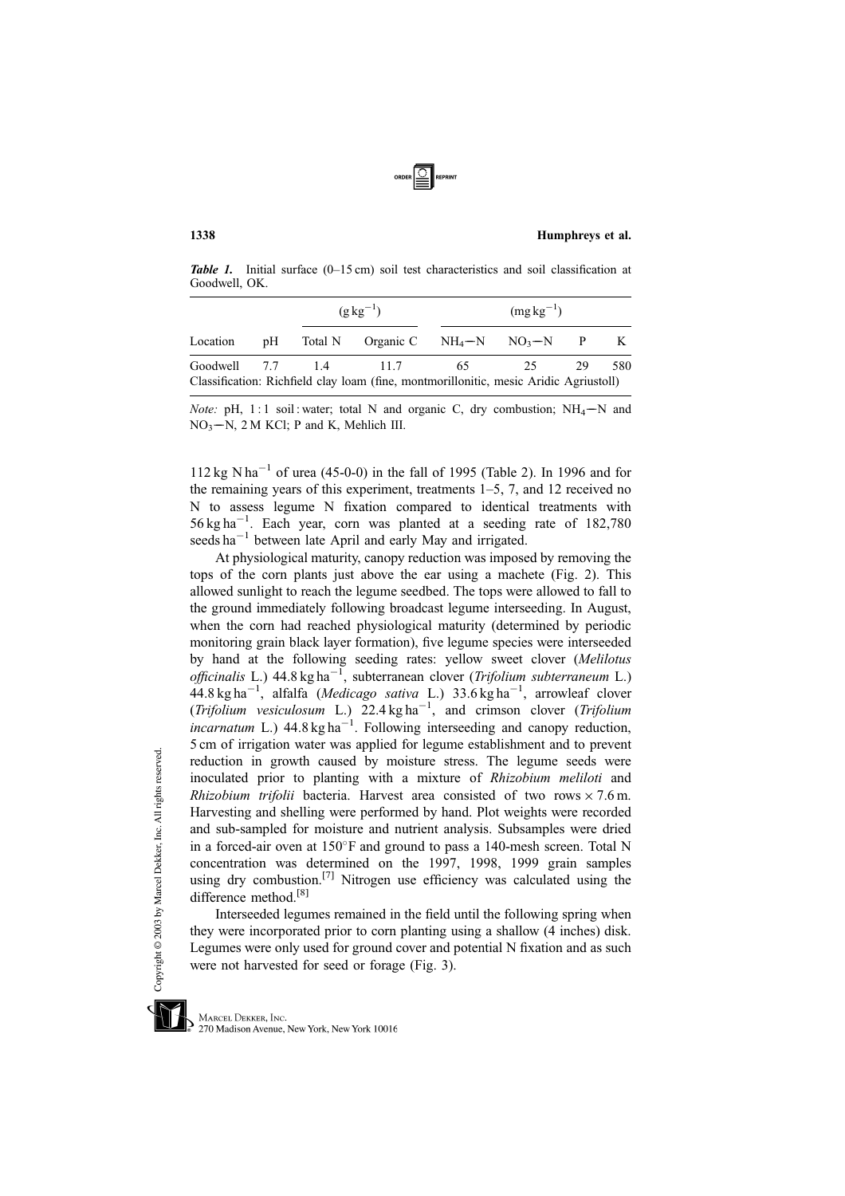

#### 1338 Humphreys et al.

Table 1. Initial surface (0-15 cm) soil test characteristics and soil classification at Goodwell, OK.

|          |  | $(g \text{ kg}^{-1})$                                                                 | $(mg kg^{-1})$ |    |     |
|----------|--|---------------------------------------------------------------------------------------|----------------|----|-----|
| Location |  | pH Total N Organic C $NH_4-N$ $NO_3-N$ P K                                            |                |    |     |
|          |  | Goodwell 7.7 1.4 11.7 65                                                              | 25             | 29 | 580 |
|          |  | Classification: Richfield clay loam (fine, montmorillonitic, mesic Aridic Agriustoll) |                |    |     |

Note: pH, 1:1 soil: water; total N and organic C, dry combustion;  $NH_4-N$  and  $NO<sub>3</sub> - N$ , 2 M KCl; P and K, Mehlich III.

 $112 \text{ kg } N \text{ ha}^{-1}$  of urea (45-0-0) in the fall of 1995 (Table 2). In 1996 and for the remaining years of this experiment, treatments 1–5, 7, and 12 received no N to assess legume N fixation compared to identical treatments with  $56 \text{ kg ha}^{-1}$ . Each year, corn was planted at a seeding rate of 182,780 seeds ha<sup>-1</sup> between late April and early May and irrigated.

At physiological maturity, canopy reduction was imposed by removing the tops of the corn plants just above the ear using a machete (Fig. 2). This allowed sunlight to reach the legume seedbed. The tops were allowed to fall to the ground immediately following broadcast legume interseeding. In August, when the corn had reached physiological maturity (determined by periodic monitoring grain black layer formation), five legume species were interseeded by hand at the following seeding rates: yellow sweet clover (Melilotus officinalis L.)  $44.8 \text{ kg ha}^{-1}$ , subterranean clover (Trifolium subterraneum L.)  $44.8 \text{ kg ha}^{-1}$ , alfalfa (Medicago sativa L.) 33.6 kg ha<sup>-1</sup>, arrowleaf clover (Trifolium vesiculosum L.)  $22.4 \text{ kg ha}^{-1}$ , and crimson clover (Trifolium incarnatum L.)  $44.8 \text{ kg ha}^{-1}$ . Following interseeding and canopy reduction, 5 cm of irrigation water was applied for legume establishment and to prevent reduction in growth caused by moisture stress. The legume seeds were inoculated prior to planting with a mixture of Rhizobium meliloti and Rhizobium trifolii bacteria. Harvest area consisted of two rows  $\times$  7.6 m. Harvesting and shelling were performed by hand. Plot weights were recorded and sub-sampled for moisture and nutrient analysis. Subsamples were dried in a forced-air oven at  $150^{\circ}$ F and ground to pass a 140-mesh screen. Total N concentration was determined on the 1997, 1998, 1999 grain samples using dry combustion.<sup>[7]</sup> Nitrogen use efficiency was calculated using the difference method.<sup>[8]</sup>

Interseeded legumes remained in the field until the following spring when they were incorporated prior to corn planting using a shallow (4 inches) disk. Legumes were only used for ground cover and potential N fixation and as such were not harvested for seed or forage (Fig. 3).



MARCEL DEKKER, INC. 270 Madison Avenue, New York, New York 10016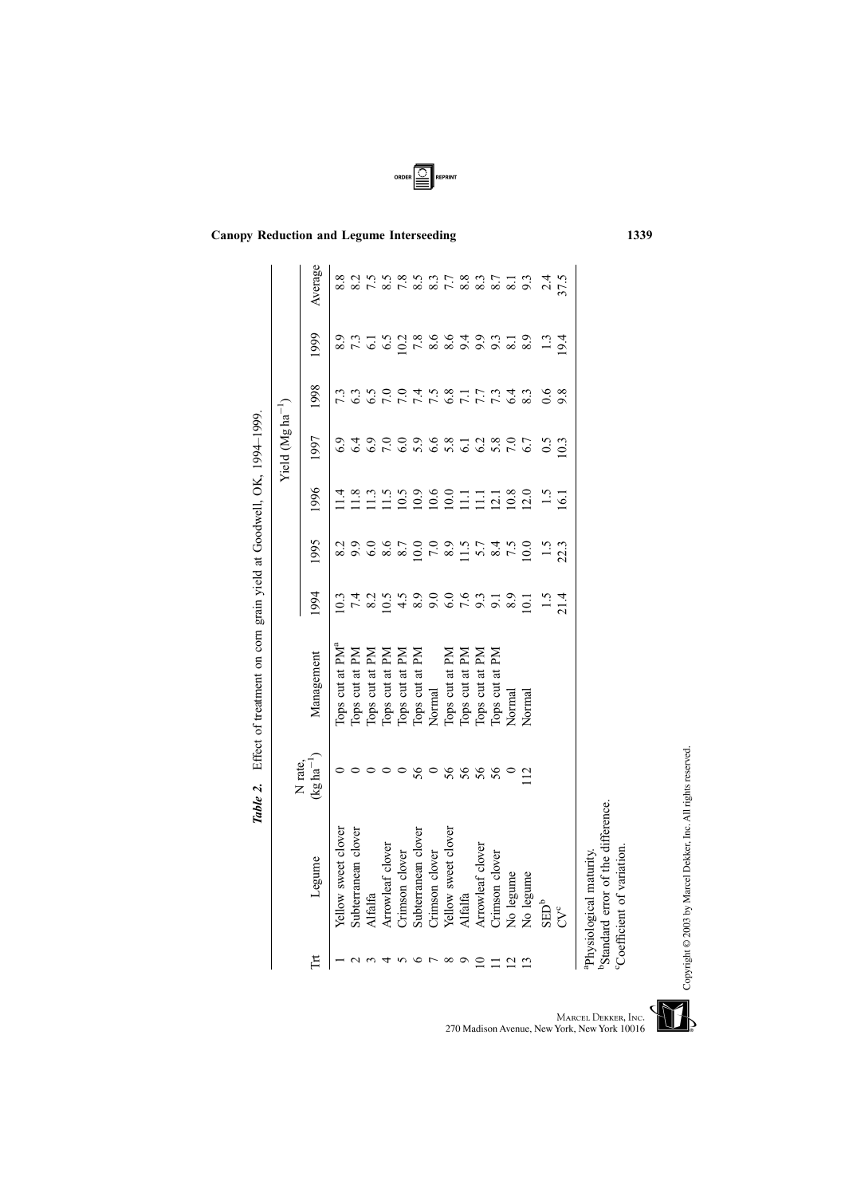|                 |                                                                                                                     |                                   |                                                                                                  |                    |                                                      |                      | Yield $(Mgha^{-1})$              |      |               |                                |
|-----------------|---------------------------------------------------------------------------------------------------------------------|-----------------------------------|--------------------------------------------------------------------------------------------------|--------------------|------------------------------------------------------|----------------------|----------------------------------|------|---------------|--------------------------------|
| H               | Legume                                                                                                              | $(\log\hbox{ha}^{-1})$<br>N rate. | Management                                                                                       | 1994               | 1995                                                 | 1996                 | 1997                             | 1998 | 1999          | Average                        |
|                 | Yellow sweet clover                                                                                                 |                                   | Tops cut at PM <sup>a</sup>                                                                      | 10.3               | 8.2                                                  | 1.4                  |                                  | 7.3  |               |                                |
| $\mathbf{\sim}$ | Subterranean clover                                                                                                 |                                   | Tops cut at PM                                                                                   |                    |                                                      |                      |                                  |      |               |                                |
|                 | <b>Alfalfa</b>                                                                                                      |                                   |                                                                                                  |                    |                                                      |                      |                                  |      |               |                                |
|                 | Arrowleaf clover                                                                                                    |                                   | Tops cut at PM<br>Tops cut at PM<br>Tops cut at PM<br>Tops cut at PM<br>Tops cut at PM<br>Normal |                    | o o o o o o o o u r 4 vio<br>o o o o o o o u r 4 vio | 23<br>11122221111220 | o que con con que esta en contro |      |               | $7.5$<br>8.5                   |
|                 | Crimson clover                                                                                                      |                                   |                                                                                                  |                    |                                                      |                      |                                  |      |               | $7.\overline{8}$<br>$5.5$      |
| $\circ$         | Subterranean clover                                                                                                 | 56                                |                                                                                                  |                    |                                                      |                      |                                  |      |               |                                |
| ŗ               | Crimson clover                                                                                                      | $\circ$                           |                                                                                                  |                    |                                                      |                      |                                  |      |               | 8.3                            |
| $^{\circ}$      | Yellow sweet clover                                                                                                 |                                   | Tops cut at PM                                                                                   |                    |                                                      |                      |                                  |      |               |                                |
| $\circ$         | Alfalfa                                                                                                             | 56                                | Tops cut at PM                                                                                   |                    |                                                      |                      |                                  |      |               | 7.8.9.9.9.9.1<br>7.8.9.9.9.9.1 |
| $\overline{10}$ | Arrowleaf clover                                                                                                    | 56                                | Tops cut at PM                                                                                   |                    |                                                      |                      | 6.380                            |      |               |                                |
| $\equiv$        | Crimson clover                                                                                                      |                                   | Tops cut at PM                                                                                   |                    |                                                      |                      |                                  |      |               |                                |
| $\frac{2}{13}$  | No legume                                                                                                           |                                   | Normal                                                                                           |                    |                                                      |                      |                                  |      |               |                                |
|                 | No legume                                                                                                           | $\overline{12}$                   | Normal                                                                                           |                    |                                                      |                      | 6.7                              |      | 8.9           |                                |
|                 | $\text{SED}^b$                                                                                                      |                                   |                                                                                                  | $\frac{1.5}{21.4}$ | $\ddot{5}$                                           | $\frac{1}{5}$        | 0.5                              | 0.6  | $\frac{3}{2}$ | 2.4                            |
|                 | CV <sup>c</sup>                                                                                                     |                                   |                                                                                                  |                    | 22.3                                                 | $\overline{6}$       | 10.3                             | 9.8  | 19.4          | 57.5                           |
|                 | <sup>b</sup> Standard error of the difference.<br>Coefficient of variation.<br><sup>a</sup> Physiological maturity. |                                   |                                                                                                  |                    |                                                      |                      |                                  |      |               |                                |

Canopy Reduction and Legume Interseeding 1339

ORDER SEPRINT

Table 2. Effect of treatment on corn grain yield at Goodwell, OK, 1994 Table 2. Effect of treatment on corn grain yield at Goodwell, OK, 1994-1999.

Copyright © 2003 by Marcel Dekker, Inc. All rights reserved.

MARCEL DEKKER, INC.<br>270 Madison Avenue, New York, New York 10016

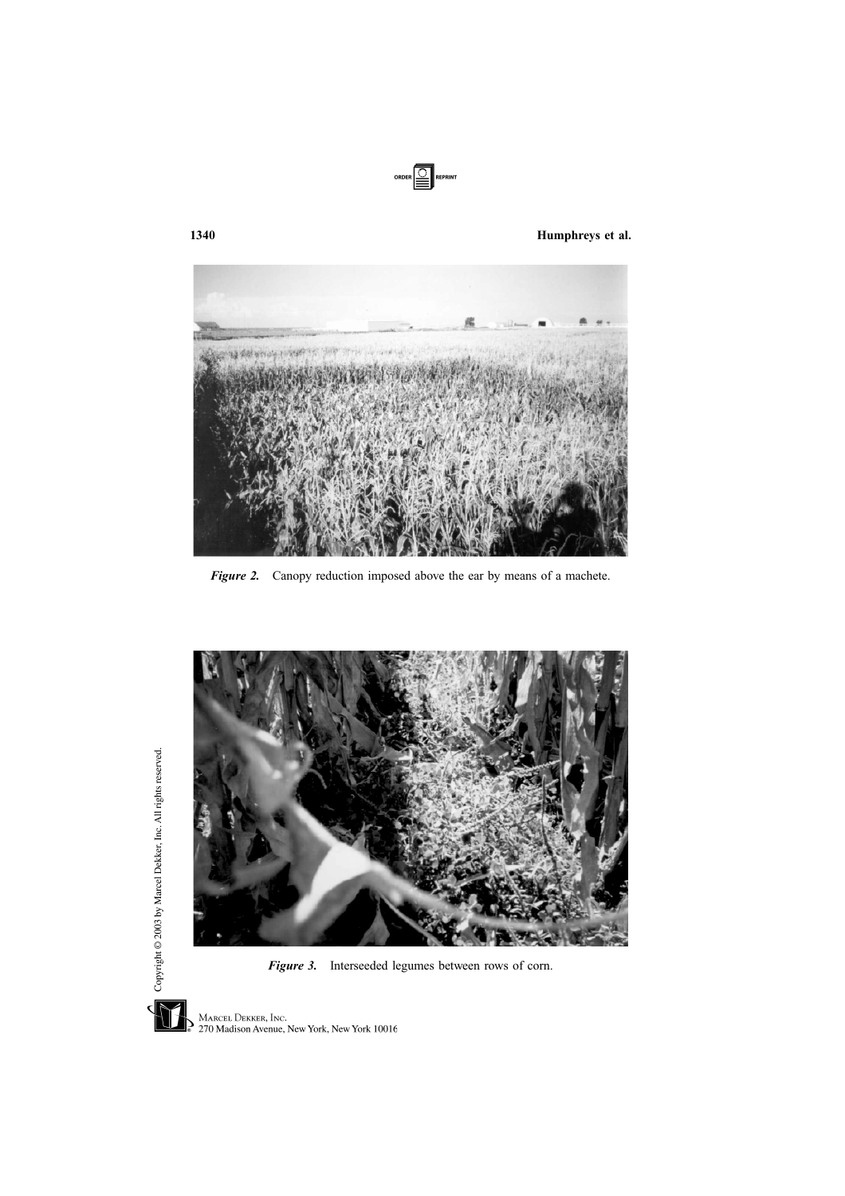

1340 Humphreys et al.



Figure 2. Canopy reduction imposed above the ear by means of a machete.



Figure 3. Interseeded legumes between rows of corn.



Copyright @ 2003 by Marcel Dekker, Inc. All rights reserved.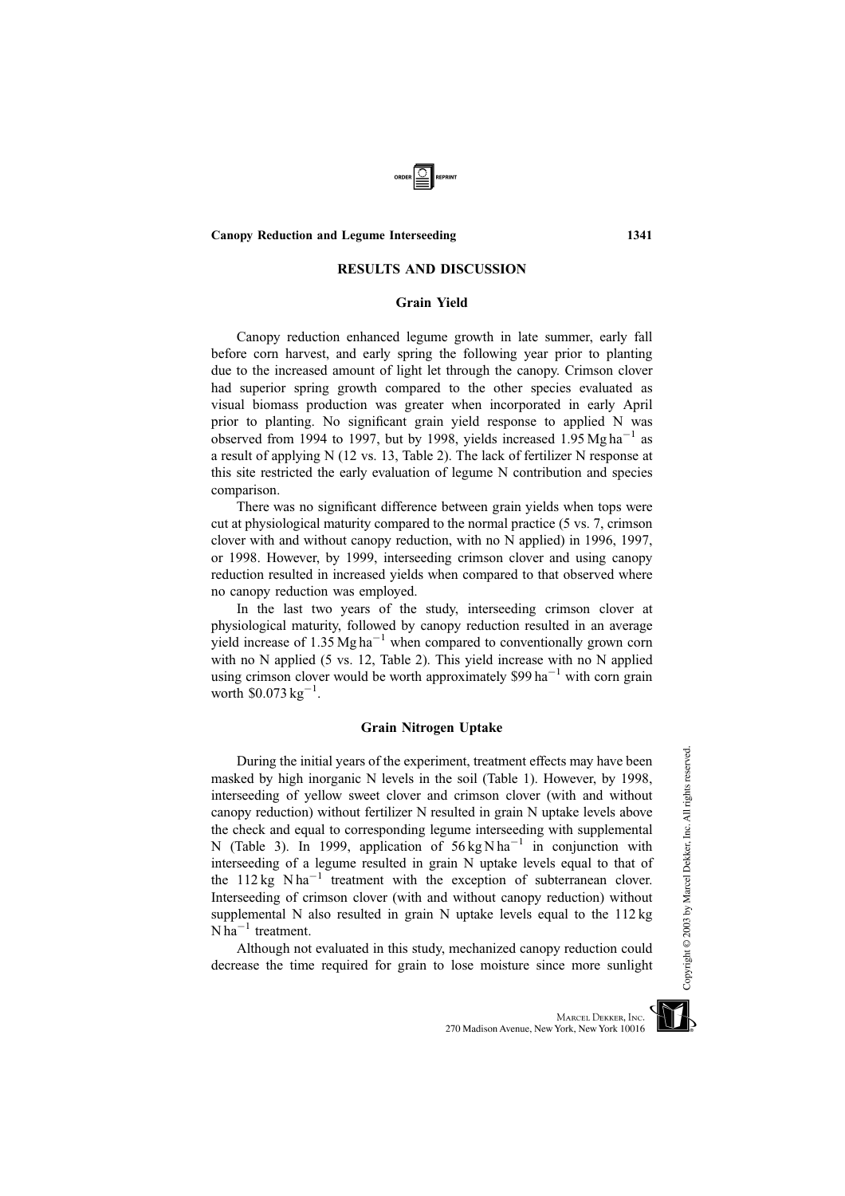# Canopy Reduction and Legume Interseeding 1341

### RESULTS AND DISCUSSION

### Grain Yield

Canopy reduction enhanced legume growth in late summer, early fall before corn harvest, and early spring the following year prior to planting due to the increased amount of light let through the canopy. Crimson clover had superior spring growth compared to the other species evaluated as visual biomass production was greater when incorporated in early April prior to planting. No significant grain yield response to applied N was observed from 1994 to 1997, but by 1998, yields increased 1.95 Mg ha<sup>-1</sup> as a result of applying N (12 vs. 13, Table 2). The lack of fertilizer N response at this site restricted the early evaluation of legume N contribution and species comparison.

There was no significant difference between grain yields when tops were cut at physiological maturity compared to the normal practice (5 vs. 7, crimson clover with and without canopy reduction, with no N applied) in 1996, 1997, or 1998. However, by 1999, interseeding crimson clover and using canopy reduction resulted in increased yields when compared to that observed where no canopy reduction was employed.

In the last two years of the study, interseeding crimson clover at physiological maturity, followed by canopy reduction resulted in an average yield increase of 1.35 Mg ha<sup>-1</sup> when compared to conventionally grown corn with no N applied (5 vs. 12, Table 2). This yield increase with no N applied using crimson clover would be worth approximately  $$99$  ha<sup>-1</sup> with corn grain worth  $$0.073 \text{ kg}^{-1}$ .

### Grain Nitrogen Uptake

During the initial years of the experiment, treatment effects may have been masked by high inorganic N levels in the soil (Table 1). However, by 1998, interseeding of yellow sweet clover and crimson clover (with and without canopy reduction) without fertilizer N resulted in grain N uptake levels above the check and equal to corresponding legume interseeding with supplemental N (Table 3). In 1999, application of  $56 \text{ kg N} \text{ ha}^{-1}$  in conjunction with interseeding of a legume resulted in grain N uptake levels equal to that of the  $112 \text{ kg}$  N ha<sup>-1</sup> treatment with the exception of subterranean clover. Interseeding of crimson clover (with and without canopy reduction) without supplemental N also resulted in grain N uptake levels equal to the 112 kg  $N$  ha<sup>-1</sup> treatment.

Although not evaluated in this study, mechanized canopy reduction could decrease the time required for grain to lose moisture since more sunlight



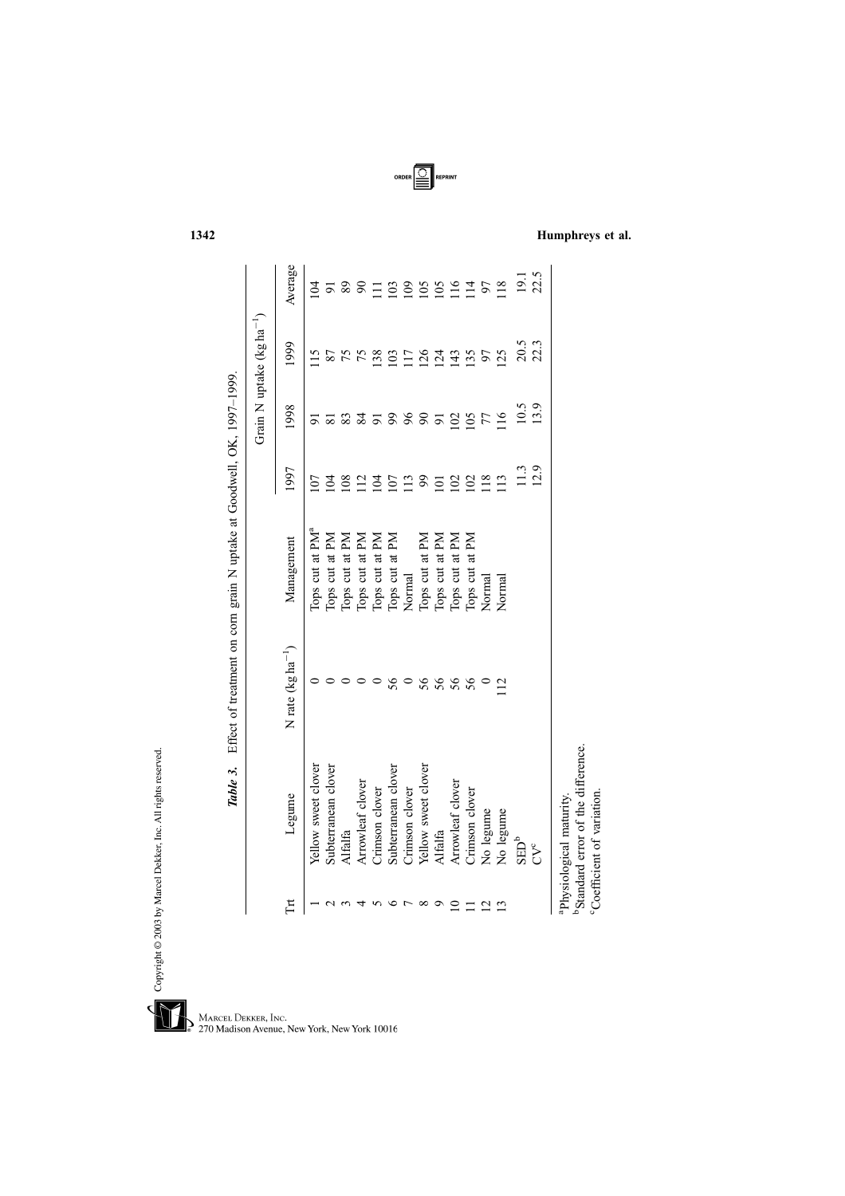|                |                                                                                                                     |                         |                             |                             |                 | Grain N uptake $(kg ha^{-1})$ |                 |
|----------------|---------------------------------------------------------------------------------------------------------------------|-------------------------|-----------------------------|-----------------------------|-----------------|-------------------------------|-----------------|
| Ĕ              | Legume                                                                                                              | N rate ( $kg ha^{-1}$ ) | Management                  | 1997                        | 1998            | 1999                          | Average         |
|                | Yellow sweet clover                                                                                                 |                         | Tops cut at PM <sup>a</sup> | ΟJ                          |                 | $\frac{5}{1}$                 | $\overline{5}$  |
|                | Subterranean clover                                                                                                 |                         | Tops cut at PM              | $\overline{5}$              | $\overline{81}$ | 87                            |                 |
|                | Alfalfa                                                                                                             |                         | Tops cut at PM              | 108                         | 83              | 75                            | 89              |
|                | Arrowleaf clover                                                                                                    |                         | Tops cut at PM              | $\overline{12}$             |                 | 75                            | $\infty$        |
|                | Crimson clover                                                                                                      |                         | Tops cut at PM              | $\overline{5}$              | $\overline{5}$  | 138                           |                 |
|                | Subterranean clover                                                                                                 | 56                      | Tops cut at PM              | $\overline{0}$              |                 | $\overline{0}$                | $\mathfrak{S}$  |
|                | Crimson clover                                                                                                      |                         | Normal                      | $\frac{13}{2}$              | 96              | $\overline{17}$               | $\mathbf{S}$    |
| $\infty$       | Yellow sweet clover                                                                                                 | 56                      | Tops cut at PM              | $\mathcal{S}^{\mathcal{O}}$ | $8\overline{5}$ | $\frac{26}{2}$                | $\overline{5}$  |
|                | Alfalfa                                                                                                             | 56                      | Tops cut at PM              | $\Xi$                       |                 | $^{24}$                       | 105             |
|                | Arrowleaf clover                                                                                                    | 56                      | Tops cut at PM              | $\overline{0}$              | 102             | 143                           | $\overline{16}$ |
|                | Crimson clover                                                                                                      | 56                      | Tops cut at PM              | $\mathcal{S}$               | $\overline{0}$  | 135                           | $\vec{a}$       |
| $\overline{2}$ | No legume                                                                                                           |                         | Normal                      | $\frac{18}{2}$              | 77              | 57                            | 50              |
|                | No legume                                                                                                           | $\overline{c}$          | Normal                      | $\frac{13}{2}$              | $\overline{16}$ | 125                           | $\overline{18}$ |
|                | $\mathrm{SED}^b$                                                                                                    |                         |                             | $\frac{3}{2}$               | 10.5            | 20.5                          | 19.1            |
|                | $C^c$                                                                                                               |                         |                             | 12.9                        | 13.9            | 22.3                          | 22.5            |
|                | <sup>b</sup> Standard error of the difference.<br>Coefficient of variation.<br><sup>ap</sup> hysiological maturity. |                         |                             |                             |                 |                               |                 |

ORDER **III** REPRINT

Table 3. Effect of treatment on corn grain N uptake at Goodwell, OK, 1997 Table 3. Effect of treatment on corn grain N uptake at Goodwell, OK, 1997-1999.

Copyright @ 2003 by Marcel Dekker, Inc. All rights reserved.

 $\sqrt{\phantom{1}}$ MARCEL DEKKER, INC.<br>270 Madison Avenue, New York, New York 10016 Ğ

1342 Humphreys et al.